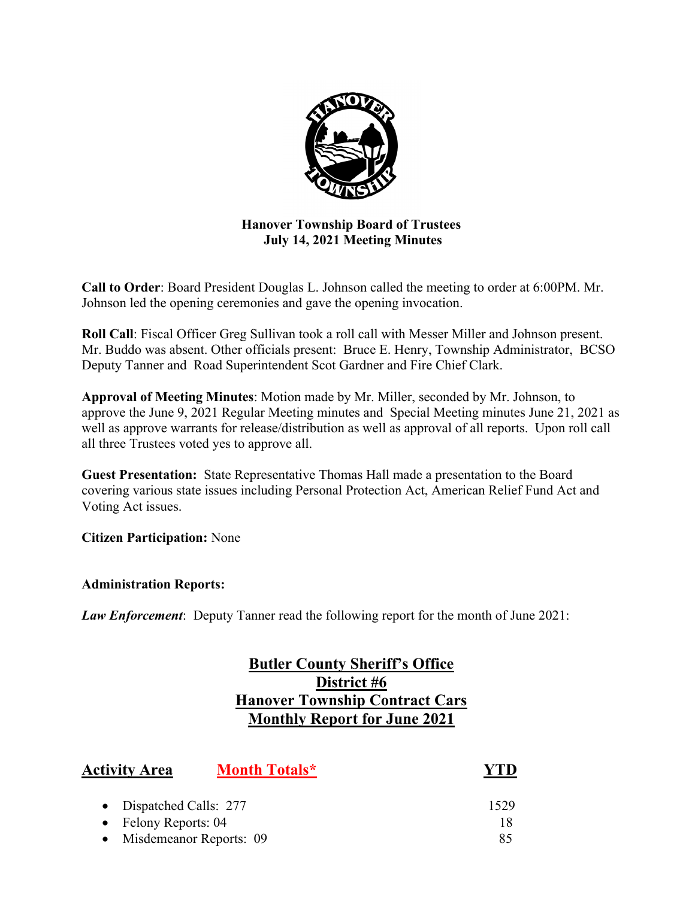

# **Hanover Township Board of Trustees July 14, 2021 Meeting Minutes**

**Call to Order**: Board President Douglas L. Johnson called the meeting to order at 6:00PM. Mr. Johnson led the opening ceremonies and gave the opening invocation.

**Roll Call**: Fiscal Officer Greg Sullivan took a roll call with Messer Miller and Johnson present. Mr. Buddo was absent. Other officials present: Bruce E. Henry, Township Administrator, BCSO Deputy Tanner and Road Superintendent Scot Gardner and Fire Chief Clark.

**Approval of Meeting Minutes**: Motion made by Mr. Miller, seconded by Mr. Johnson, to approve the June 9, 2021 Regular Meeting minutes and Special Meeting minutes June 21, 2021 as well as approve warrants for release/distribution as well as approval of all reports. Upon roll call all three Trustees voted yes to approve all.

**Guest Presentation:** State Representative Thomas Hall made a presentation to the Board covering various state issues including Personal Protection Act, American Relief Fund Act and Voting Act issues.

**Citizen Participation:** None

**Administration Reports:** 

*Law Enforcement*: Deputy Tanner read the following report for the month of June 2021:

# **Butler County Sheriff's Office District #6 Hanover Township Contract Cars Monthly Report for June 2021**

| <b>Activity Area</b>    | <b>Month Totals*</b>    |      |
|-------------------------|-------------------------|------|
| • Dispatched Calls: 277 |                         | 1529 |
| • Felony Reports: $04$  |                         | 18   |
|                         | Misdemeanor Reports: 09 | 85   |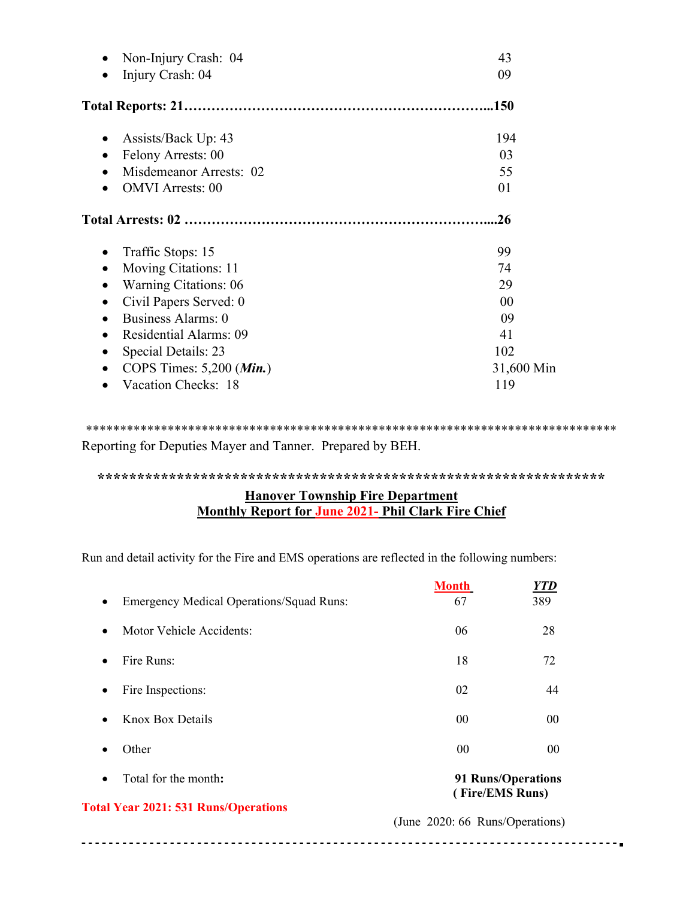| Non-Injury Crash: 04                | 43         |
|-------------------------------------|------------|
| Injury Crash: 04                    | 09         |
|                                     | .150       |
| Assists/Back Up: 43                 | 194        |
| Felony Arrests: 00                  | 03         |
| Misdemeanor Arrests: 02             | 55         |
| <b>OMVI</b> Arrests: 00             | 01         |
|                                     | .26        |
| Traffic Stops: 15                   | 99         |
| Moving Citations: 11                | 74         |
| Warning Citations: 06               | 29         |
| Civil Papers Served: 0<br>$\bullet$ | 00         |
| Business Alarms: 0                  | 09         |
| Residential Alarms: 09              | 41         |
| Special Details: 23                 | 102        |
| COPS Times: 5,200 (Min.)            | 31,600 Min |
| Vacation Checks: 18                 | 119        |

\*\*\*\*\*\*\*\*\*\*\*\*\*\*\*\*\*\*\*\*\*\*\*\*\*\*\*\*\*\*\*\*\*\*\*\*\*\*\*\*\*\*\*\*\*\*\*\*\*\*\*\*\*\*\*\*\*\*\*\*\*\*\*\*\*\*\*\*\*\*\*\*\*\*\*\*\*\* Reporting for Deputies Mayer and Tanner. Prepared by BEH.

**\*\*\*\*\*\*\*\*\*\*\*\*\*\*\*\*\*\*\*\*\*\*\*\*\*\*\*\*\*\*\*\*\*\*\*\*\*\*\*\*\*\*\*\*\*\*\*\*\*\*\*\*\*\*\*\*\*\*\*\*\*\*\*\***

# **Hanover Township Fire Department Monthly Report for June 2021- Phil Clark Fire Chief**

Run and detail activity for the Fire and EMS operations are reflected in the following numbers:

|                                                              | <b>Month</b>                          | YTD            |
|--------------------------------------------------------------|---------------------------------------|----------------|
| <b>Emergency Medical Operations/Squad Runs:</b><br>$\bullet$ | 67                                    | 389            |
| Motor Vehicle Accidents:<br>$\bullet$                        | 06                                    | 28             |
| Fire Runs:<br>$\bullet$                                      | 18                                    | 72             |
| Fire Inspections:<br>$\bullet$                               | 02                                    | 44             |
| <b>Knox Box Details</b><br>$\bullet$                         | 00 <sup>2</sup>                       | 00             |
| Other<br>$\bullet$                                           | 0 <sub>0</sub>                        | 0 <sup>0</sup> |
| Total for the month:<br>$\bullet$                            | 91 Runs/Operations<br>(Fire/EMS Runs) |                |
| <b>Total Year 2021: 531 Runs/Operations</b>                  | (June 2020: 66 Runs/Operations)       |                |

-------**.**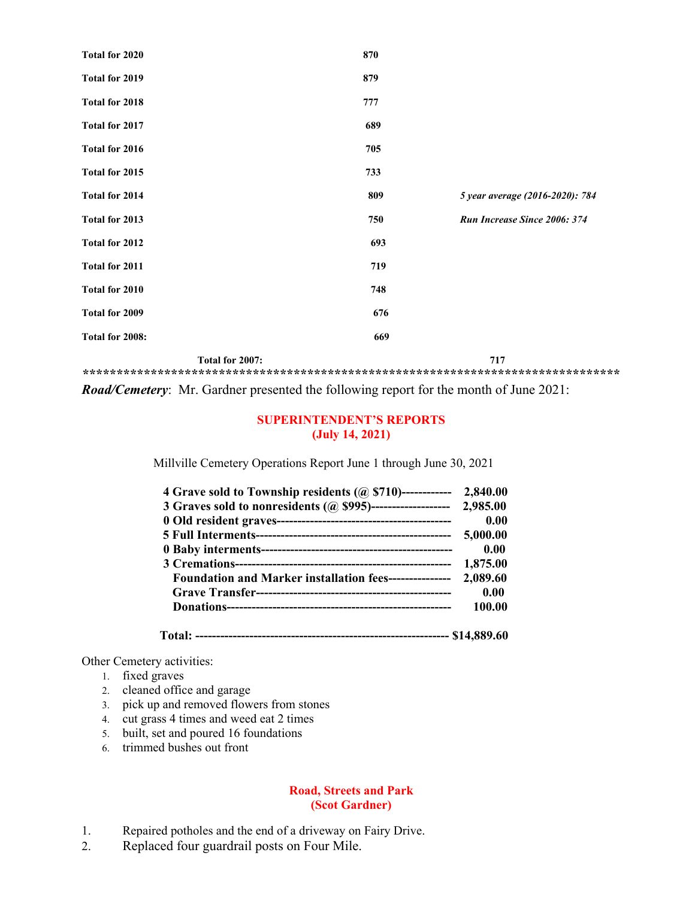| Total for 2020  | 870             |                                 |
|-----------------|-----------------|---------------------------------|
| Total for 2019  | 879             |                                 |
| Total for 2018  | 777             |                                 |
| Total for 2017  | 689             |                                 |
| Total for 2016  | 705             |                                 |
| Total for 2015  | 733             |                                 |
| Total for 2014  | 809             | 5 year average (2016-2020): 784 |
| Total for 2013  | 750             | Run Increase Since 2006: 374    |
| Total for 2012  | 693             |                                 |
| Total for 2011  | 719             |                                 |
| Total for 2010  | 748             |                                 |
| Total for 2009  | 676             |                                 |
| Total for 2008: | 669             |                                 |
|                 | Total for 2007: | 717                             |

**\*\*\*\*\*\*\*\*\*\*\*\*\*\*\*\*\*\*\*\*\*\*\*\*\*\*\*\*\*\*\*\*\*\*\*\*\*\*\*\*\*\*\*\*\*\*\*\*\*\*\*\*\*\*\*\*\*\*\*\*\*\*\*\*\*\*\*\*\*\*\*\*\*\*\*\*\*\*\***  *Road/Cemetery*: Mr. Gardner presented the following report for the month of June 2021:

#### **SUPERINTENDENT'S REPORTS (July 14, 2021)**

Millville Cemetery Operations Report June 1 through June 30, 2021

| 4 Grave sold to Township residents $(a)$ \$710)------------          | 2,840.00 |
|----------------------------------------------------------------------|----------|
| 3 Graves sold to nonresidents (@ \$995)-------------------- 2,985.00 |          |
|                                                                      | 0.00     |
|                                                                      | 5,000.00 |
|                                                                      | 0.00     |
|                                                                      | 1,875.00 |
| <b>Foundation and Marker installation fees---------------</b>        | 2,089.60 |
|                                                                      | 0.00     |
|                                                                      | 100.00   |
|                                                                      |          |

 **Total: ------------------------------------------------------------- \$14,889.60** 

Other Cemetery activities:

- 1. fixed graves
- 2. cleaned office and garage
- 3. pick up and removed flowers from stones
- 4. cut grass 4 times and weed eat 2 times
- 5. built, set and poured 16 foundations
- 6. trimmed bushes out front

### **Road, Streets and Park (Scot Gardner)**

- 1. Repaired potholes and the end of a driveway on Fairy Drive.
- 2. Replaced four guardrail posts on Four Mile.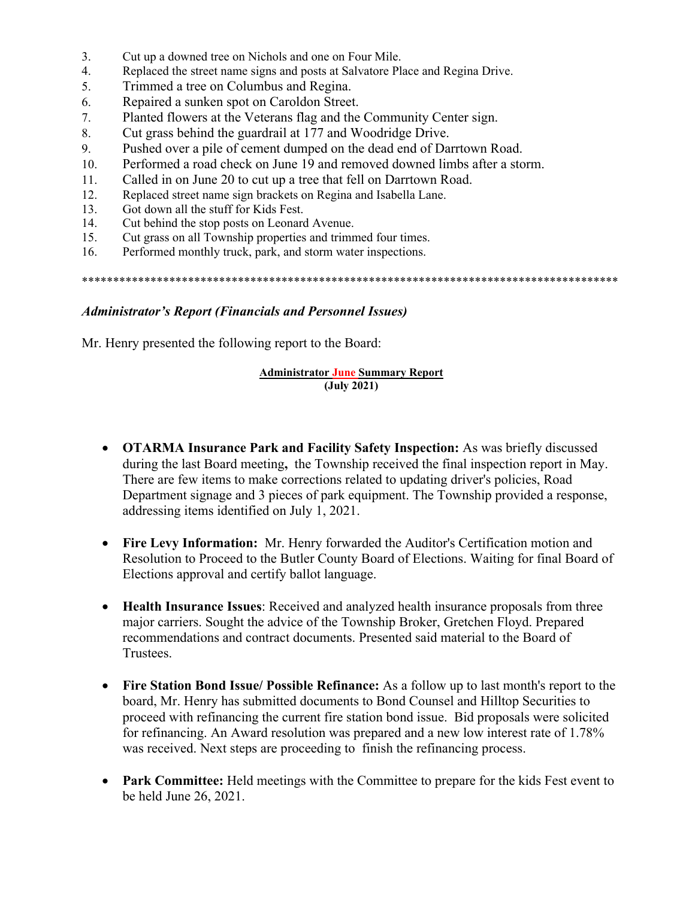- 3. Cut up a downed tree on Nichols and one on Four Mile.
- 4. Replaced the street name signs and posts at Salvatore Place and Regina Drive.
- 5. Trimmed a tree on Columbus and Regina.
- 6. Repaired a sunken spot on Caroldon Street.
- 7. Planted flowers at the Veterans flag and the Community Center sign.
- 8. Cut grass behind the guardrail at 177 and Woodridge Drive.
- 9. Pushed over a pile of cement dumped on the dead end of Darrtown Road.
- 10. Performed a road check on June 19 and removed downed limbs after a storm.
- 11. Called in on June 20 to cut up a tree that fell on Darrtown Road.
- 12. Replaced street name sign brackets on Regina and Isabella Lane.
- 13. Got down all the stuff for Kids Fest.
- 14. Cut behind the stop posts on Leonard Avenue.
- 15. Cut grass on all Township properties and trimmed four times.
- 16. Performed monthly truck, park, and storm water inspections.

\*\*\*\*\*\*\*\*\*\*\*\*\*\*\*\*\*\*\*\*\*\*\*\*\*\*\*\*\*\*\*\*\*\*\*\*\*\*\*\*\*\*\*\*\*\*\*\*\*\*\*\*\*\*\*\*\*\*\*\*\*\*\*\*\*\*\*\*\*\*\*\*\*\*\*\*\*\*\*\*\*\*\*\*\*\*

#### *Administrator's Report (Financials and Personnel Issues)*

Mr. Henry presented the following report to the Board:

#### **Administrator June Summary Report (July 2021)**

- **OTARMA Insurance Park and Facility Safety Inspection:** As was briefly discussed during the last Board meeting**,** the Township received the final inspection report in May. There are few items to make corrections related to updating driver's policies, Road Department signage and 3 pieces of park equipment. The Township provided a response, addressing items identified on July 1, 2021.
- **Fire Levy Information:** Mr. Henry forwarded the Auditor's Certification motion and Resolution to Proceed to the Butler County Board of Elections. Waiting for final Board of Elections approval and certify ballot language.
- **Health Insurance Issues**: Received and analyzed health insurance proposals from three major carriers. Sought the advice of the Township Broker, Gretchen Floyd. Prepared recommendations and contract documents. Presented said material to the Board of Trustees.
- **Fire Station Bond Issue/ Possible Refinance:** As a follow up to last month's report to the board, Mr. Henry has submitted documents to Bond Counsel and Hilltop Securities to proceed with refinancing the current fire station bond issue. Bid proposals were solicited for refinancing. An Award resolution was prepared and a new low interest rate of 1.78% was received. Next steps are proceeding to finish the refinancing process.
- Park Committee: Held meetings with the Committee to prepare for the kids Fest event to be held June 26, 2021.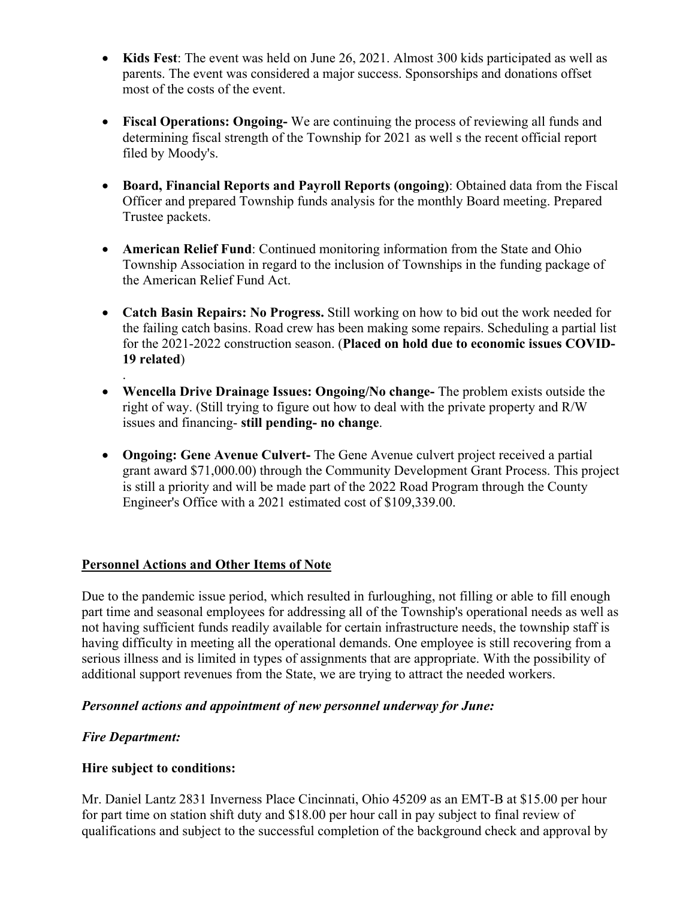- **Kids Fest**: The event was held on June 26, 2021. Almost 300 kids participated as well as parents. The event was considered a major success. Sponsorships and donations offset most of the costs of the event.
- **Fiscal Operations: Ongoing-** We are continuing the process of reviewing all funds and determining fiscal strength of the Township for 2021 as well s the recent official report filed by Moody's.
- **Board, Financial Reports and Payroll Reports (ongoing)**: Obtained data from the Fiscal Officer and prepared Township funds analysis for the monthly Board meeting. Prepared Trustee packets.
- **American Relief Fund**: Continued monitoring information from the State and Ohio Township Association in regard to the inclusion of Townships in the funding package of the American Relief Fund Act.
- **Catch Basin Repairs: No Progress.** Still working on how to bid out the work needed for the failing catch basins. Road crew has been making some repairs. Scheduling a partial list for the 2021-2022 construction season. (**Placed on hold due to economic issues COVID-19 related**)
- **Wencella Drive Drainage Issues: Ongoing/No change-** The problem exists outside the right of way. (Still trying to figure out how to deal with the private property and R/W issues and financing- **still pending- no change**.
- **Ongoing: Gene Avenue Culvert-** The Gene Avenue culvert project received a partial grant award \$71,000.00) through the Community Development Grant Process. This project is still a priority and will be made part of the 2022 Road Program through the County Engineer's Office with a 2021 estimated cost of \$109,339.00.

# **Personnel Actions and Other Items of Note**

Due to the pandemic issue period, which resulted in furloughing, not filling or able to fill enough part time and seasonal employees for addressing all of the Township's operational needs as well as not having sufficient funds readily available for certain infrastructure needs, the township staff is having difficulty in meeting all the operational demands. One employee is still recovering from a serious illness and is limited in types of assignments that are appropriate. With the possibility of additional support revenues from the State, we are trying to attract the needed workers.

# *Personnel actions and appointment of new personnel underway for June:*

# *Fire Department:*

.

# **Hire subject to conditions:**

Mr. Daniel Lantz 2831 Inverness Place Cincinnati, Ohio 45209 as an EMT-B at \$15.00 per hour for part time on station shift duty and \$18.00 per hour call in pay subject to final review of qualifications and subject to the successful completion of the background check and approval by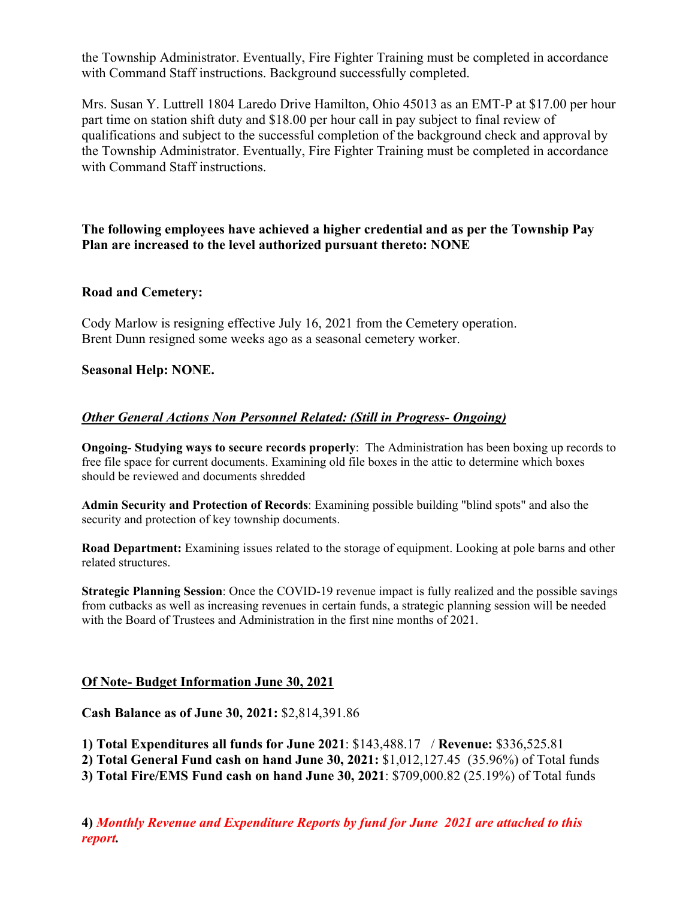the Township Administrator. Eventually, Fire Fighter Training must be completed in accordance with Command Staff instructions. Background successfully completed.

Mrs. Susan Y. Luttrell 1804 Laredo Drive Hamilton, Ohio 45013 as an EMT-P at \$17.00 per hour part time on station shift duty and \$18.00 per hour call in pay subject to final review of qualifications and subject to the successful completion of the background check and approval by the Township Administrator. Eventually, Fire Fighter Training must be completed in accordance with Command Staff instructions.

# **The following employees have achieved a higher credential and as per the Township Pay Plan are increased to the level authorized pursuant thereto: NONE**

### **Road and Cemetery:**

Cody Marlow is resigning effective July 16, 2021 from the Cemetery operation. Brent Dunn resigned some weeks ago as a seasonal cemetery worker.

# **Seasonal Help: NONE.**

# *Other General Actions Non Personnel Related: (Still in Progress- Ongoing)*

**Ongoing- Studying ways to secure records properly**: The Administration has been boxing up records to free file space for current documents. Examining old file boxes in the attic to determine which boxes should be reviewed and documents shredded

**Admin Security and Protection of Records**: Examining possible building "blind spots" and also the security and protection of key township documents.

**Road Department:** Examining issues related to the storage of equipment. Looking at pole barns and other related structures.

**Strategic Planning Session**: Once the COVID-19 revenue impact is fully realized and the possible savings from cutbacks as well as increasing revenues in certain funds, a strategic planning session will be needed with the Board of Trustees and Administration in the first nine months of 2021.

### **Of Note- Budget Information June 30, 2021**

**Cash Balance as of June 30, 2021:** \$2,814,391.86

**1) Total Expenditures all funds for June 2021**: \$143,488.17 / **Revenue:** \$336,525.81

**2) Total General Fund cash on hand June 30, 2021:** \$1,012,127.45 (35.96%) of Total funds

**3) Total Fire/EMS Fund cash on hand June 30, 2021**: \$709,000.82 (25.19%) of Total funds

**4)** *Monthly Revenue and Expenditure Reports by fund for June 2021 are attached to this report.*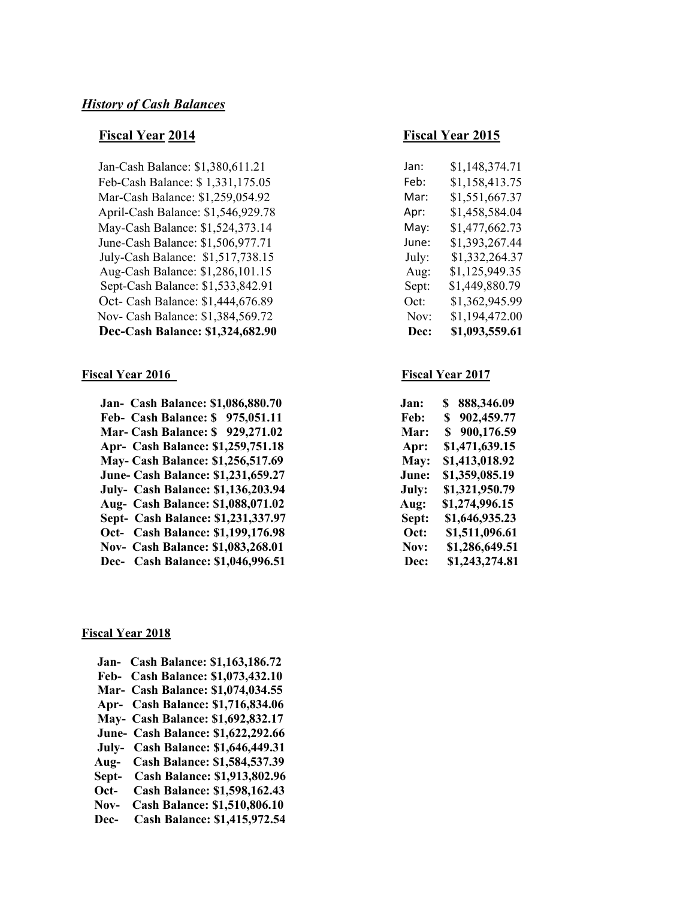Jan-Cash Balance: \$1,380,611.21 Feb-Cash Balance: \$ 1,331,175.05 Feb: \$1,158,413.75 Mar-Cash Balance: \$1,259,054.92 April-Cash Balance: \$1,546,929.78 May-Cash Balance: \$1,524,373.14 May: \$1,477,662.73 June-Cash Balance: \$1,506,977.71 July-Cash Balance: \$1,517,738.15 Aug-Cash Balance: \$1,286,101.15 Sept-Cash Balance: \$1,533,842.91 Oct- Cash Balance: \$1,444,676.89 Nov- Cash Balance: \$1,384,569.72 **Dec-Cash Balance: \$1,324,682.90** 

#### **Fiscal Year 2016** Fiscal Year 2017

 **Jan- Cash Balance: \$1,086,880.70 Feb- Cash Balance: \$ 975,051.11 Mar- Cash Balance: \$ 929,271.02 Apr- Cash Balance: \$1,259,751.18 May- Cash Balance: \$1,256,517.69 June- Cash Balance: \$1,231,659.27** July- Cash Balance: \$1,136,203.94  **Aug- Cash Balance: \$1,088,071.02 Sept- Cash Balance: \$1,231,337.97 Oct-** Cash Balance: \$1,199,176.98 **Nov- Cash Balance: \$1,083,268.01 Dec-** Cash Balance: \$1,046,996.51

#### **Fiscal Year 2018**

 **Jan- Cash Balance: \$1,163,186.72 Feb- Cash Balance: \$1,073,432.10 Mar- Cash Balance: \$1,074,034.55 Apr- Cash Balance: \$1,716,834.06 May- Cash Balance: \$1,692,832.17 June- Cash Balance: \$1,622,292.66 July- Cash Balance: \$1,646,449.31 Aug- Cash Balance: \$1,584,537.39 Sept- Cash Balance: \$1,913,802.96 Oct- Cash Balance: \$1,598,162.43 Nov- Cash Balance: \$1,510,806.10 Dec- Cash Balance: \$1,415,972.54** 

#### **Fiscal Year 2014** Fiscal Year 2015

| lan:  | \$1,148,374.71 |
|-------|----------------|
| Feb:  | \$1,158,413.75 |
| Mar:  | \$1,551,667.37 |
| Apr:  | \$1,458,584.04 |
| Mav:  | \$1,477,662.73 |
| lune: | \$1,393,267.44 |
| July: | \$1,332,264.37 |
| Aug:  | \$1,125,949.35 |
| Sept: | \$1,449,880.79 |
| Oct:  | \$1,362,945.99 |
| Nov:  | \$1,194,472.00 |
| Dec:  | \$1,093,559.61 |

| 888,346.09<br>S  |
|------------------|
| S.<br>902,459.77 |
| 900,176.59<br>S  |
| \$1,471,639.15   |
| \$1,413,018.92   |
| \$1,359,085.19   |
| \$1,321,950.79   |
| \$1,274,996.15   |
| \$1,646,935.23   |
| \$1,511,096.61   |
| \$1,286,649.51   |
| \$1,243,274.81   |
|                  |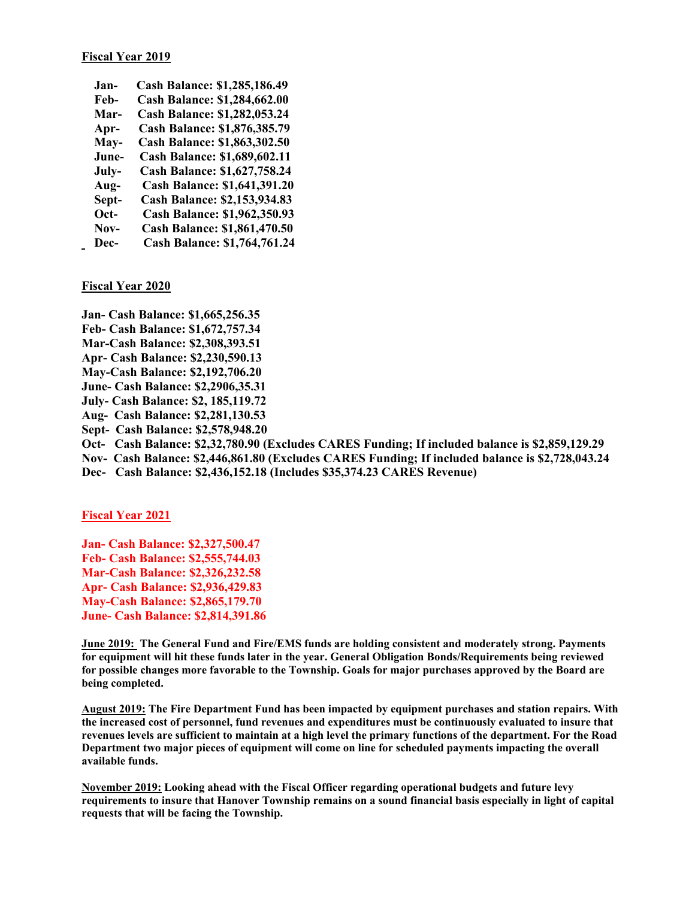| Jan-  | <b>Cash Balance: \$1,285,186.49</b> |
|-------|-------------------------------------|
| Feb-  | <b>Cash Balance: \$1,284,662.00</b> |
| Mar-  | <b>Cash Balance: \$1,282,053.24</b> |
| Apr-  | Cash Balance: \$1,876,385.79        |
| May-  | <b>Cash Balance: \$1,863,302.50</b> |
| June- | <b>Cash Balance: \$1,689,602.11</b> |
| July- | <b>Cash Balance: \$1,627,758.24</b> |
| Aug-  | <b>Cash Balance: \$1,641,391.20</b> |
| Sept- | <b>Cash Balance: \$2,153,934.83</b> |
| Oct-  | <b>Cash Balance: \$1,962,350.93</b> |
| Nov-  | <b>Cash Balance: \$1,861,470.50</b> |
| Dec-  | <b>Cash Balance: \$1,764,761.24</b> |

**Fiscal Year 2020** 

- **Jan- Cash Balance: \$1,665,256.35**
- **Feb- Cash Balance: \$1,672,757.34**
- **Mar-Cash Balance: \$2,308,393.51**
- **Apr- Cash Balance: \$2,230,590.13**
- **May-Cash Balance: \$2,192,706.20**
- **June- Cash Balance: \$2,2906,35.31**
- **July- Cash Balance: \$2, 185,119.72**
- **Aug- Cash Balance: \$2,281,130.53**
- **Sept- Cash Balance: \$2,578,948.20**
- **Oct- Cash Balance: \$2,32,780.90 (Excludes CARES Funding; If included balance is \$2,859,129.29**
- **Nov- Cash Balance: \$2,446,861.80 (Excludes CARES Funding; If included balance is \$2,728,043.24**
- **Dec- Cash Balance: \$2,436,152.18 (Includes \$35,374.23 CARES Revenue)**

**Fiscal Year 2021** 

**Jan- Cash Balance: \$2,327,500.47 Feb- Cash Balance: \$2,555,744.03 Mar-Cash Balance: \$2,326,232.58 Apr- Cash Balance: \$2,936,429.83 May-Cash Balance: \$2,865,179.70 June- Cash Balance: \$2,814,391.86** 

**June 2019: The General Fund and Fire/EMS funds are holding consistent and moderately strong. Payments for equipment will hit these funds later in the year. General Obligation Bonds/Requirements being reviewed for possible changes more favorable to the Township. Goals for major purchases approved by the Board are being completed.** 

**August 2019: The Fire Department Fund has been impacted by equipment purchases and station repairs. With the increased cost of personnel, fund revenues and expenditures must be continuously evaluated to insure that revenues levels are sufficient to maintain at a high level the primary functions of the department. For the Road Department two major pieces of equipment will come on line for scheduled payments impacting the overall available funds.** 

**November 2019: Looking ahead with the Fiscal Officer regarding operational budgets and future levy requirements to insure that Hanover Township remains on a sound financial basis especially in light of capital requests that will be facing the Township.**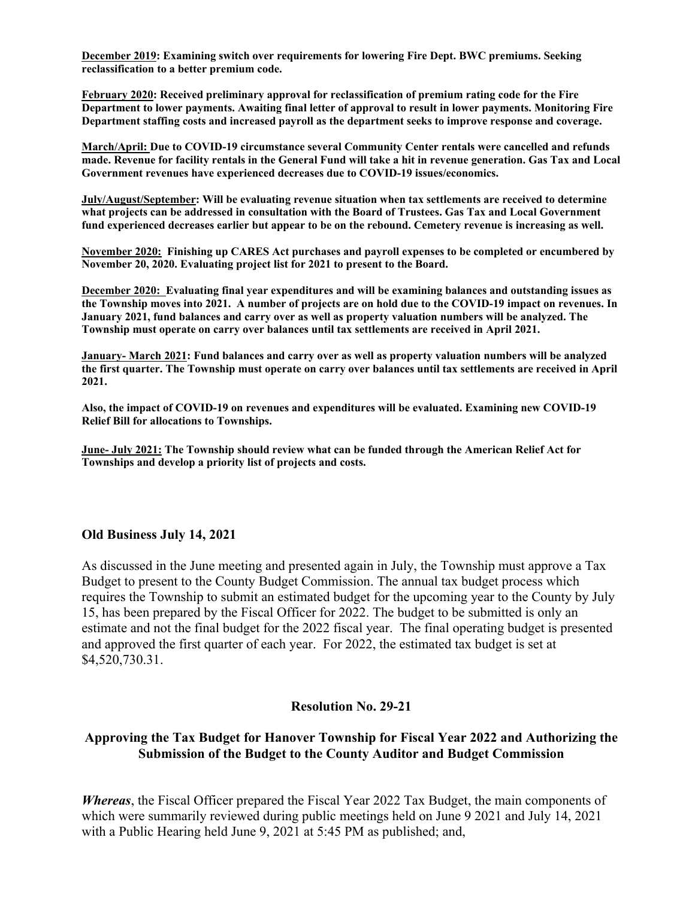**December 2019: Examining switch over requirements for lowering Fire Dept. BWC premiums. Seeking reclassification to a better premium code.** 

**February 2020: Received preliminary approval for reclassification of premium rating code for the Fire Department to lower payments. Awaiting final letter of approval to result in lower payments. Monitoring Fire Department staffing costs and increased payroll as the department seeks to improve response and coverage.** 

**March/April: Due to COVID-19 circumstance several Community Center rentals were cancelled and refunds made. Revenue for facility rentals in the General Fund will take a hit in revenue generation. Gas Tax and Local Government revenues have experienced decreases due to COVID-19 issues/economics.** 

**July/August/September: Will be evaluating revenue situation when tax settlements are received to determine what projects can be addressed in consultation with the Board of Trustees. Gas Tax and Local Government fund experienced decreases earlier but appear to be on the rebound. Cemetery revenue is increasing as well.** 

**November 2020: Finishing up CARES Act purchases and payroll expenses to be completed or encumbered by November 20, 2020. Evaluating project list for 2021 to present to the Board.** 

**December 2020: Evaluating final year expenditures and will be examining balances and outstanding issues as the Township moves into 2021. A number of projects are on hold due to the COVID-19 impact on revenues. In January 2021, fund balances and carry over as well as property valuation numbers will be analyzed. The Township must operate on carry over balances until tax settlements are received in April 2021.** 

**January- March 2021: Fund balances and carry over as well as property valuation numbers will be analyzed the first quarter. The Township must operate on carry over balances until tax settlements are received in April 2021.** 

**Also, the impact of COVID-19 on revenues and expenditures will be evaluated. Examining new COVID-19 Relief Bill for allocations to Townships.** 

**June- July 2021: The Township should review what can be funded through the American Relief Act for Townships and develop a priority list of projects and costs.** 

#### **Old Business July 14, 2021**

As discussed in the June meeting and presented again in July, the Township must approve a Tax Budget to present to the County Budget Commission. The annual tax budget process which requires the Township to submit an estimated budget for the upcoming year to the County by July 15, has been prepared by the Fiscal Officer for 2022. The budget to be submitted is only an estimate and not the final budget for the 2022 fiscal year. The final operating budget is presented and approved the first quarter of each year. For 2022, the estimated tax budget is set at \$4,520,730.31.

### **Resolution No. 29-21**

### **Approving the Tax Budget for Hanover Township for Fiscal Year 2022 and Authorizing the Submission of the Budget to the County Auditor and Budget Commission**

*Whereas*, the Fiscal Officer prepared the Fiscal Year 2022 Tax Budget, the main components of which were summarily reviewed during public meetings held on June 9 2021 and July 14, 2021 with a Public Hearing held June 9, 2021 at 5:45 PM as published; and,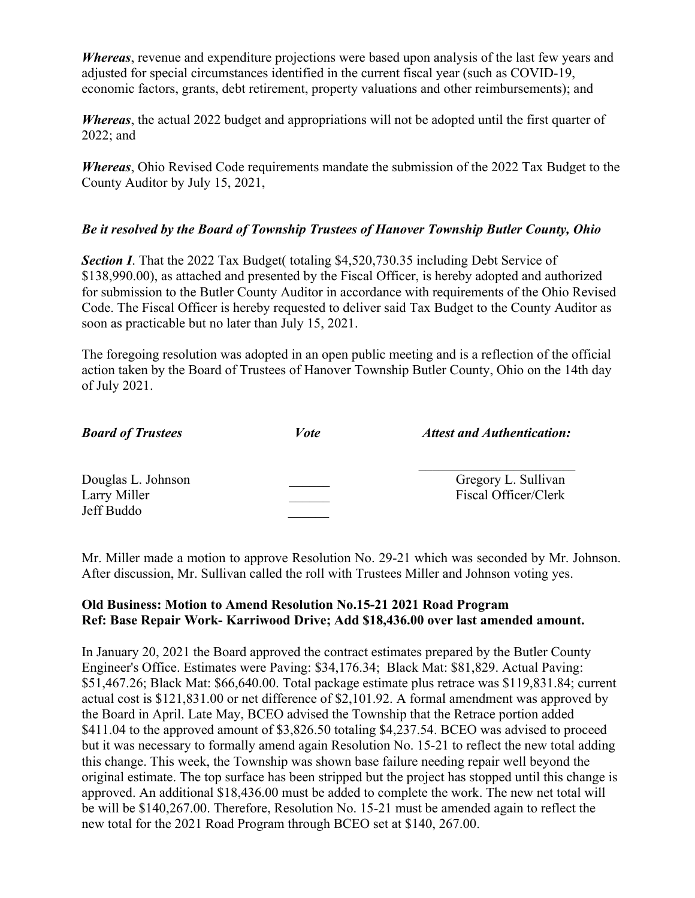*Whereas*, revenue and expenditure projections were based upon analysis of the last few years and adjusted for special circumstances identified in the current fiscal year (such as COVID-19, economic factors, grants, debt retirement, property valuations and other reimbursements); and

*Whereas*, the actual 2022 budget and appropriations will not be adopted until the first quarter of 2022; and

*Whereas*, Ohio Revised Code requirements mandate the submission of the 2022 Tax Budget to the County Auditor by July 15, 2021,

# *Be it resolved by the Board of Township Trustees of Hanover Township Butler County, Ohio*

**Section I**. That the 2022 Tax Budget( totaling \$4,520,730.35 including Debt Service of \$138,990.00), as attached and presented by the Fiscal Officer, is hereby adopted and authorized for submission to the Butler County Auditor in accordance with requirements of the Ohio Revised Code. The Fiscal Officer is hereby requested to deliver said Tax Budget to the County Auditor as soon as practicable but no later than July 15, 2021.

The foregoing resolution was adopted in an open public meeting and is a reflection of the official action taken by the Board of Trustees of Hanover Township Butler County, Ohio on the 14th day of July 2021.

| <b>Board of Trustees</b> | <i>Vote</i> | <b>Attest and Authentication:</b> |
|--------------------------|-------------|-----------------------------------|
| Douglas L. Johnson       |             | Gregory L. Sullivan               |
| Larry Miller             |             | Fiscal Officer/Clerk              |
| Jeff Buddo               |             |                                   |

Mr. Miller made a motion to approve Resolution No. 29-21 which was seconded by Mr. Johnson. After discussion, Mr. Sullivan called the roll with Trustees Miller and Johnson voting yes.

# **Old Business: Motion to Amend Resolution No.15-21 2021 Road Program Ref: Base Repair Work- Karriwood Drive; Add \$18,436.00 over last amended amount.**

In January 20, 2021 the Board approved the contract estimates prepared by the Butler County Engineer's Office. Estimates were Paving: \$34,176.34; Black Mat: \$81,829. Actual Paving: \$51,467.26; Black Mat: \$66,640.00. Total package estimate plus retrace was \$119,831.84; current actual cost is \$121,831.00 or net difference of \$2,101.92. A formal amendment was approved by the Board in April. Late May, BCEO advised the Township that the Retrace portion added \$411.04 to the approved amount of \$3,826.50 totaling \$4,237.54. BCEO was advised to proceed but it was necessary to formally amend again Resolution No. 15-21 to reflect the new total adding this change. This week, the Township was shown base failure needing repair well beyond the original estimate. The top surface has been stripped but the project has stopped until this change is approved. An additional \$18,436.00 must be added to complete the work. The new net total will be will be \$140,267.00. Therefore, Resolution No. 15-21 must be amended again to reflect the new total for the 2021 Road Program through BCEO set at \$140, 267.00.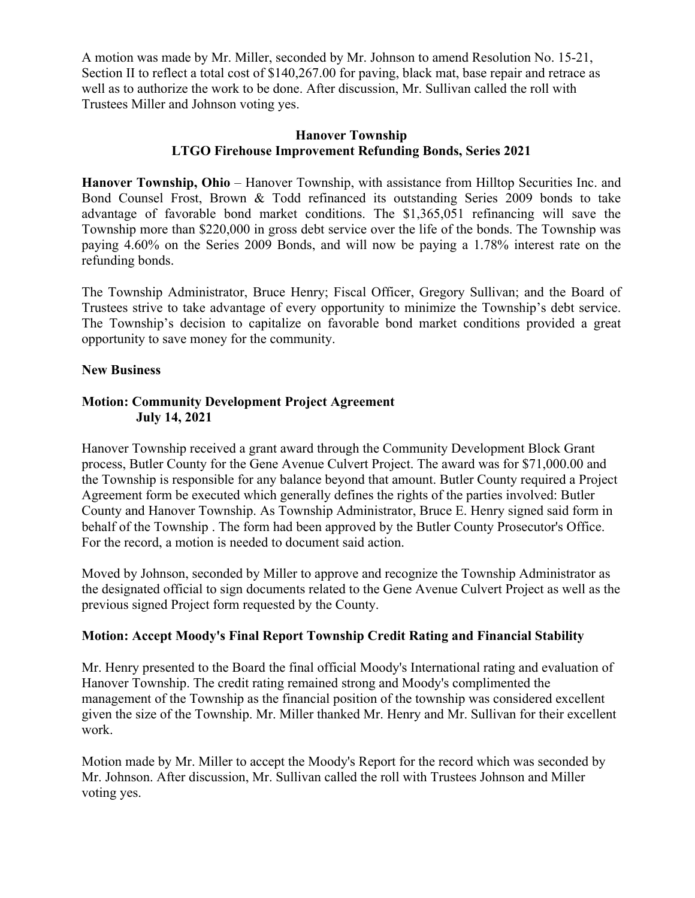A motion was made by Mr. Miller, seconded by Mr. Johnson to amend Resolution No. 15-21, Section II to reflect a total cost of \$140,267.00 for paving, black mat, base repair and retrace as well as to authorize the work to be done. After discussion, Mr. Sullivan called the roll with Trustees Miller and Johnson voting yes.

### **Hanover Township LTGO Firehouse Improvement Refunding Bonds, Series 2021**

**Hanover Township, Ohio** – Hanover Township, with assistance from Hilltop Securities Inc. and Bond Counsel Frost, Brown & Todd refinanced its outstanding Series 2009 bonds to take advantage of favorable bond market conditions. The \$1,365,051 refinancing will save the Township more than \$220,000 in gross debt service over the life of the bonds. The Township was paying 4.60% on the Series 2009 Bonds, and will now be paying a 1.78% interest rate on the refunding bonds.

The Township Administrator, Bruce Henry; Fiscal Officer, Gregory Sullivan; and the Board of Trustees strive to take advantage of every opportunity to minimize the Township's debt service. The Township's decision to capitalize on favorable bond market conditions provided a great opportunity to save money for the community.

### **New Business**

# **Motion: Community Development Project Agreement July 14, 2021**

Hanover Township received a grant award through the Community Development Block Grant process, Butler County for the Gene Avenue Culvert Project. The award was for \$71,000.00 and the Township is responsible for any balance beyond that amount. Butler County required a Project Agreement form be executed which generally defines the rights of the parties involved: Butler County and Hanover Township. As Township Administrator, Bruce E. Henry signed said form in behalf of the Township . The form had been approved by the Butler County Prosecutor's Office. For the record, a motion is needed to document said action.

Moved by Johnson, seconded by Miller to approve and recognize the Township Administrator as the designated official to sign documents related to the Gene Avenue Culvert Project as well as the previous signed Project form requested by the County.

# **Motion: Accept Moody's Final Report Township Credit Rating and Financial Stability**

Mr. Henry presented to the Board the final official Moody's International rating and evaluation of Hanover Township. The credit rating remained strong and Moody's complimented the management of the Township as the financial position of the township was considered excellent given the size of the Township. Mr. Miller thanked Mr. Henry and Mr. Sullivan for their excellent work.

Motion made by Mr. Miller to accept the Moody's Report for the record which was seconded by Mr. Johnson. After discussion, Mr. Sullivan called the roll with Trustees Johnson and Miller voting yes.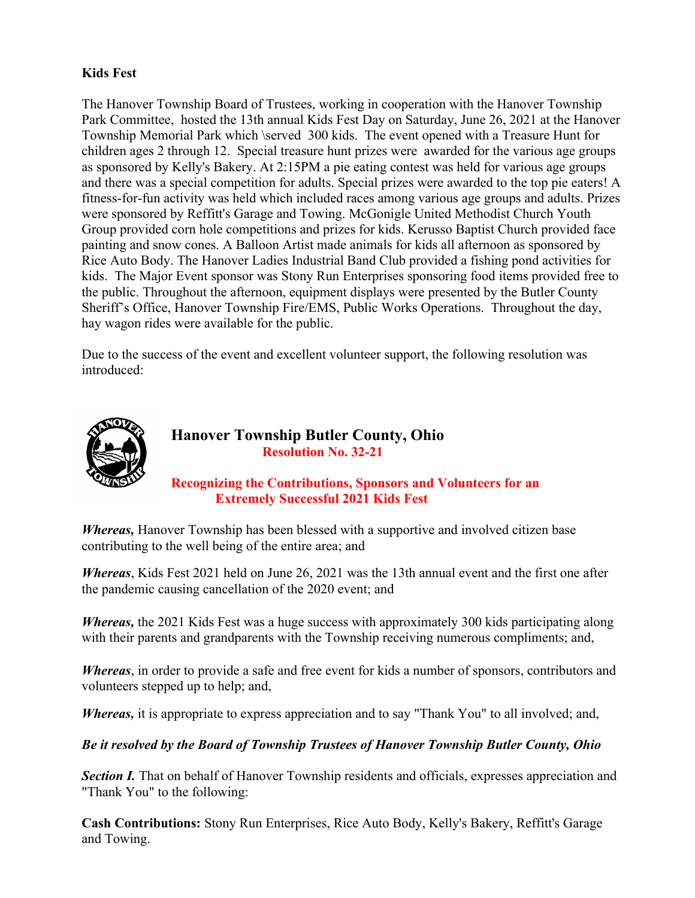# **Kids Fest**

The Hanover Township Board of Trustees, working in cooperation with the Hanover Township Park Committee, hosted the 13th annual Kids Fest Day on Saturday, June 26, 2021 at the Hanover Township Memorial Park which \served 300 kids. The event opened with a Treasure Hunt for children ages 2 through 12. Special treasure hunt prizes were awarded for the various age groups as sponsored by Kelly's Bakery. At 2:15PM a pie eating contest was held for various age groups and there was a special competition for adults. Special prizes were awarded to the top pie eaters! A fitness-for-fun activity was held which included races among various age groups and adults. Prizes were sponsored by Reffitt's Garage and Towing. McGonigle United Methodist Church Youth Group provided corn hole competitions and prizes for kids. Kerusso Baptist Church provided face painting and snow cones. A Balloon Artist made animals for kids all afternoon as sponsored by Rice Auto Body. The Hanover Ladies Industrial Band Club provided a fishing pond activities for kids. The Major Event sponsor was Stony Run Enterprises sponsoring food items provided free to the public. Throughout the afternoon, equipment displays were presented by the Butler County Sheriff's Office, Hanover Township Fire/EMS, Public Works Operations. Throughout the day, hay wagon rides were available for the public.

Due to the success of the event and excellent volunteer support, the following resolution was introduced:



# **Hanover Township Butler County, Ohio Resolution No. 32-21**

# **Recognizing the Contributions, Sponsors and Volunteers for an Extremely Successful 2021 Kids Fest**

*Whereas,* Hanover Township has been blessed with a supportive and involved citizen base contributing to the well being of the entire area; and

*Whereas*, Kids Fest 2021 held on June 26, 2021 was the 13th annual event and the first one after the pandemic causing cancellation of the 2020 event; and

*Whereas,* the 2021 Kids Fest was a huge success with approximately 300 kids participating along with their parents and grandparents with the Township receiving numerous compliments; and,

*Whereas*, in order to provide a safe and free event for kids a number of sponsors, contributors and volunteers stepped up to help; and,

*Whereas,* it is appropriate to express appreciation and to say "Thank You" to all involved; and,

*Be it resolved by the Board of Township Trustees of Hanover Township Butler County, Ohio* 

**Section I.** That on behalf of Hanover Township residents and officials, expresses appreciation and "Thank You" to the following:

**Cash Contributions:** Stony Run Enterprises, Rice Auto Body, Kelly's Bakery, Reffitt's Garage and Towing.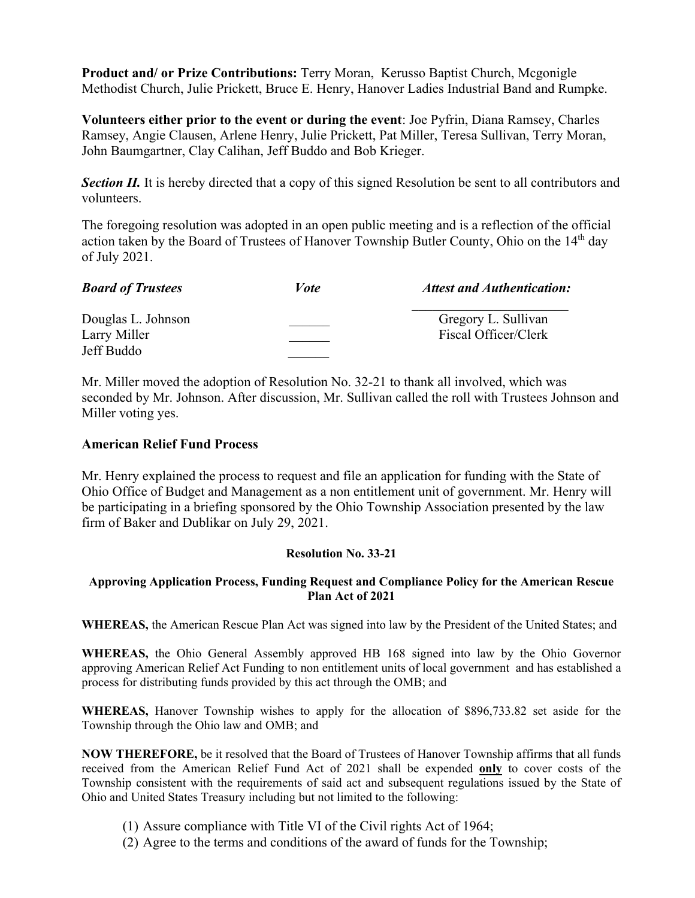**Product and/ or Prize Contributions:** Terry Moran, Kerusso Baptist Church, Mcgonigle Methodist Church, Julie Prickett, Bruce E. Henry, Hanover Ladies Industrial Band and Rumpke.

**Volunteers either prior to the event or during the event**: Joe Pyfrin, Diana Ramsey, Charles Ramsey, Angie Clausen, Arlene Henry, Julie Prickett, Pat Miller, Teresa Sullivan, Terry Moran, John Baumgartner, Clay Calihan, Jeff Buddo and Bob Krieger.

**Section II.** It is hereby directed that a copy of this signed Resolution be sent to all contributors and volunteers.

The foregoing resolution was adopted in an open public meeting and is a reflection of the official action taken by the Board of Trustees of Hanover Township Butler County, Ohio on the 14<sup>th</sup> day of July 2021.

| <b>Board of Trustees</b> | Vote | <b>Attest and Authentication:</b> |
|--------------------------|------|-----------------------------------|
| Douglas L. Johnson       |      | Gregory L. Sullivan               |
| Larry Miller             |      | Fiscal Officer/Clerk              |
| Jeff Buddo               |      |                                   |

Mr. Miller moved the adoption of Resolution No. 32-21 to thank all involved, which was seconded by Mr. Johnson. After discussion, Mr. Sullivan called the roll with Trustees Johnson and Miller voting yes.

#### **American Relief Fund Process**

Mr. Henry explained the process to request and file an application for funding with the State of Ohio Office of Budget and Management as a non entitlement unit of government. Mr. Henry will be participating in a briefing sponsored by the Ohio Township Association presented by the law firm of Baker and Dublikar on July 29, 2021.

#### **Resolution No. 33-21**

#### **Approving Application Process, Funding Request and Compliance Policy for the American Rescue Plan Act of 2021**

**WHEREAS,** the American Rescue Plan Act was signed into law by the President of the United States; and

**WHEREAS,** the Ohio General Assembly approved HB 168 signed into law by the Ohio Governor approving American Relief Act Funding to non entitlement units of local government and has established a process for distributing funds provided by this act through the OMB; and

**WHEREAS,** Hanover Township wishes to apply for the allocation of \$896,733.82 set aside for the Township through the Ohio law and OMB; and

**NOW THEREFORE,** be it resolved that the Board of Trustees of Hanover Township affirms that all funds received from the American Relief Fund Act of 2021 shall be expended **only** to cover costs of the Township consistent with the requirements of said act and subsequent regulations issued by the State of Ohio and United States Treasury including but not limited to the following:

- (1) Assure compliance with Title VI of the Civil rights Act of 1964;
- (2) Agree to the terms and conditions of the award of funds for the Township;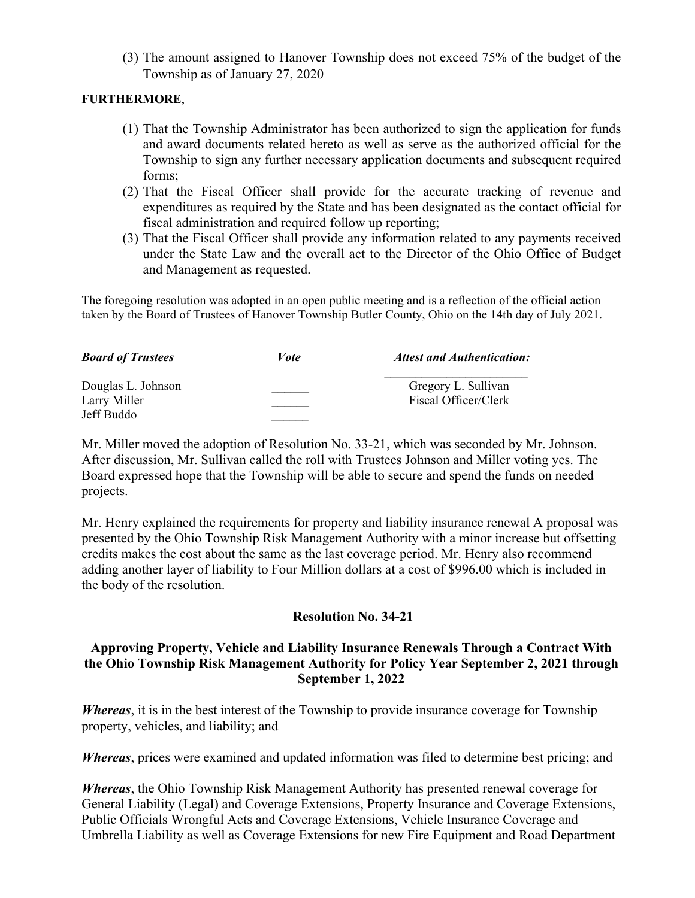(3) The amount assigned to Hanover Township does not exceed 75% of the budget of the Township as of January 27, 2020

## **FURTHERMORE**,

- (1) That the Township Administrator has been authorized to sign the application for funds and award documents related hereto as well as serve as the authorized official for the Township to sign any further necessary application documents and subsequent required forms;
- (2) That the Fiscal Officer shall provide for the accurate tracking of revenue and expenditures as required by the State and has been designated as the contact official for fiscal administration and required follow up reporting;
- (3) That the Fiscal Officer shall provide any information related to any payments received under the State Law and the overall act to the Director of the Ohio Office of Budget and Management as requested.

The foregoing resolution was adopted in an open public meeting and is a reflection of the official action taken by the Board of Trustees of Hanover Township Butler County, Ohio on the 14th day of July 2021.

| <b>Board of Trustees</b> | Vote | <b>Attest and Authentication:</b> |
|--------------------------|------|-----------------------------------|
| Douglas L. Johnson       |      | Gregory L. Sullivan               |
| Larry Miller             |      | Fiscal Officer/Clerk              |
| Jeff Buddo               |      |                                   |

Mr. Miller moved the adoption of Resolution No. 33-21, which was seconded by Mr. Johnson. After discussion, Mr. Sullivan called the roll with Trustees Johnson and Miller voting yes. The Board expressed hope that the Township will be able to secure and spend the funds on needed projects.

Mr. Henry explained the requirements for property and liability insurance renewal A proposal was presented by the Ohio Township Risk Management Authority with a minor increase but offsetting credits makes the cost about the same as the last coverage period. Mr. Henry also recommend adding another layer of liability to Four Million dollars at a cost of \$996.00 which is included in the body of the resolution.

### **Resolution No. 34-21**

# **Approving Property, Vehicle and Liability Insurance Renewals Through a Contract With the Ohio Township Risk Management Authority for Policy Year September 2, 2021 through September 1, 2022**

*Whereas*, it is in the best interest of the Township to provide insurance coverage for Township property, vehicles, and liability; and

*Whereas*, prices were examined and updated information was filed to determine best pricing; and

*Whereas*, the Ohio Township Risk Management Authority has presented renewal coverage for General Liability (Legal) and Coverage Extensions, Property Insurance and Coverage Extensions, Public Officials Wrongful Acts and Coverage Extensions, Vehicle Insurance Coverage and Umbrella Liability as well as Coverage Extensions for new Fire Equipment and Road Department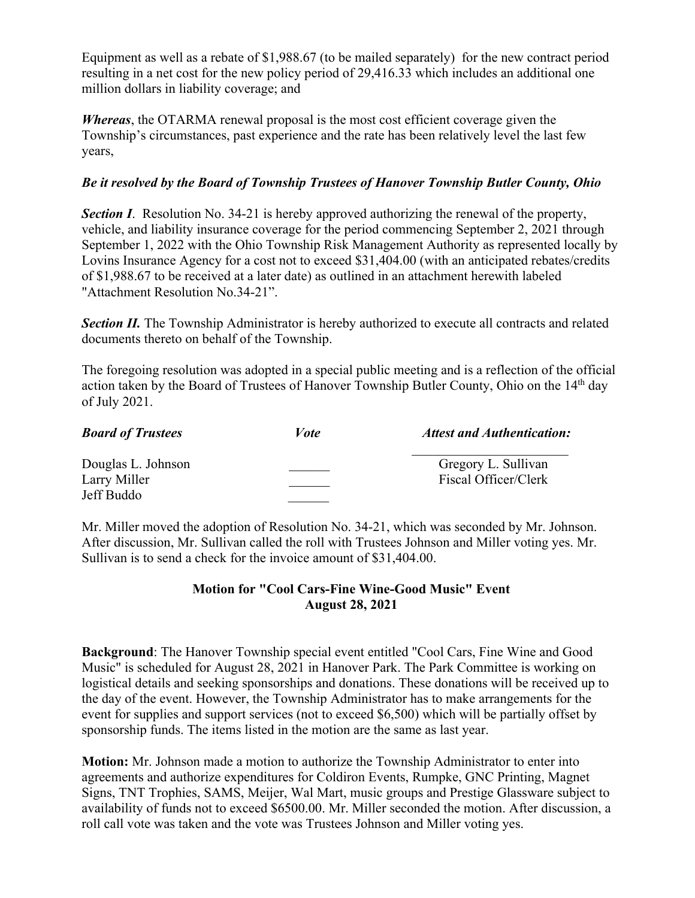Equipment as well as a rebate of \$1,988.67 (to be mailed separately) for the new contract period resulting in a net cost for the new policy period of 29,416.33 which includes an additional one million dollars in liability coverage; and

*Whereas*, the OTARMA renewal proposal is the most cost efficient coverage given the Township's circumstances, past experience and the rate has been relatively level the last few years,

# *Be it resolved by the Board of Township Trustees of Hanover Township Butler County, Ohio*

**Section I**. Resolution No. 34-21 is hereby approved authorizing the renewal of the property, vehicle, and liability insurance coverage for the period commencing September 2, 2021 through September 1, 2022 with the Ohio Township Risk Management Authority as represented locally by Lovins Insurance Agency for a cost not to exceed \$31,404.00 (with an anticipated rebates/credits of \$1,988.67 to be received at a later date) as outlined in an attachment herewith labeled "Attachment Resolution No.34-21".

**Section II.** The Township Administrator is hereby authorized to execute all contracts and related documents thereto on behalf of the Township.

The foregoing resolution was adopted in a special public meeting and is a reflection of the official action taken by the Board of Trustees of Hanover Township Butler County, Ohio on the 14<sup>th</sup> day of July 2021.

| <b>Board of Trustees</b> | <i>Vote</i> | <b>Attest and Authentication:</b> |
|--------------------------|-------------|-----------------------------------|
| Douglas L. Johnson       |             | Gregory L. Sullivan               |
| Larry Miller             |             | Fiscal Officer/Clerk              |
| Jeff Buddo               |             |                                   |

Mr. Miller moved the adoption of Resolution No. 34-21, which was seconded by Mr. Johnson. After discussion, Mr. Sullivan called the roll with Trustees Johnson and Miller voting yes. Mr. Sullivan is to send a check for the invoice amount of \$31,404.00.

# **Motion for "Cool Cars-Fine Wine-Good Music" Event August 28, 2021**

**Background**: The Hanover Township special event entitled "Cool Cars, Fine Wine and Good Music" is scheduled for August 28, 2021 in Hanover Park. The Park Committee is working on logistical details and seeking sponsorships and donations. These donations will be received up to the day of the event. However, the Township Administrator has to make arrangements for the event for supplies and support services (not to exceed \$6,500) which will be partially offset by sponsorship funds. The items listed in the motion are the same as last year.

**Motion:** Mr. Johnson made a motion to authorize the Township Administrator to enter into agreements and authorize expenditures for Coldiron Events, Rumpke, GNC Printing, Magnet Signs, TNT Trophies, SAMS, Meijer, Wal Mart, music groups and Prestige Glassware subject to availability of funds not to exceed \$6500.00. Mr. Miller seconded the motion. After discussion, a roll call vote was taken and the vote was Trustees Johnson and Miller voting yes.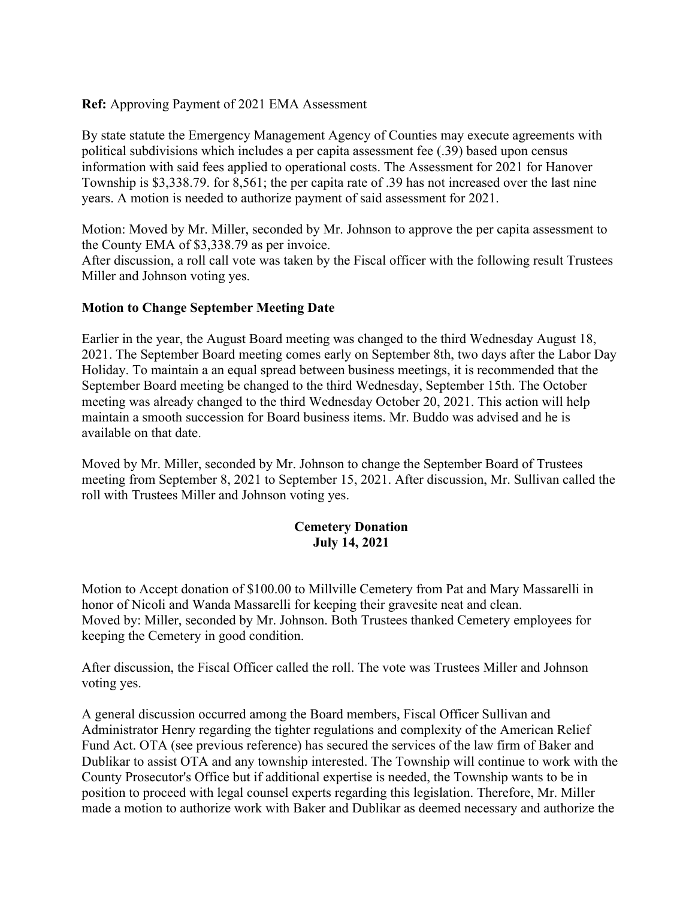## **Ref:** Approving Payment of 2021 EMA Assessment

By state statute the Emergency Management Agency of Counties may execute agreements with political subdivisions which includes a per capita assessment fee (.39) based upon census information with said fees applied to operational costs. The Assessment for 2021 for Hanover Township is \$3,338.79. for 8,561; the per capita rate of .39 has not increased over the last nine years. A motion is needed to authorize payment of said assessment for 2021.

Motion: Moved by Mr. Miller, seconded by Mr. Johnson to approve the per capita assessment to the County EMA of \$3,338.79 as per invoice.

After discussion, a roll call vote was taken by the Fiscal officer with the following result Trustees Miller and Johnson voting yes.

# **Motion to Change September Meeting Date**

Earlier in the year, the August Board meeting was changed to the third Wednesday August 18, 2021. The September Board meeting comes early on September 8th, two days after the Labor Day Holiday. To maintain a an equal spread between business meetings, it is recommended that the September Board meeting be changed to the third Wednesday, September 15th. The October meeting was already changed to the third Wednesday October 20, 2021. This action will help maintain a smooth succession for Board business items. Mr. Buddo was advised and he is available on that date.

Moved by Mr. Miller, seconded by Mr. Johnson to change the September Board of Trustees meeting from September 8, 2021 to September 15, 2021. After discussion, Mr. Sullivan called the roll with Trustees Miller and Johnson voting yes.

# **Cemetery Donation July 14, 2021**

Motion to Accept donation of \$100.00 to Millville Cemetery from Pat and Mary Massarelli in honor of Nicoli and Wanda Massarelli for keeping their gravesite neat and clean. Moved by: Miller, seconded by Mr. Johnson. Both Trustees thanked Cemetery employees for keeping the Cemetery in good condition.

After discussion, the Fiscal Officer called the roll. The vote was Trustees Miller and Johnson voting yes.

A general discussion occurred among the Board members, Fiscal Officer Sullivan and Administrator Henry regarding the tighter regulations and complexity of the American Relief Fund Act. OTA (see previous reference) has secured the services of the law firm of Baker and Dublikar to assist OTA and any township interested. The Township will continue to work with the County Prosecutor's Office but if additional expertise is needed, the Township wants to be in position to proceed with legal counsel experts regarding this legislation. Therefore, Mr. Miller made a motion to authorize work with Baker and Dublikar as deemed necessary and authorize the